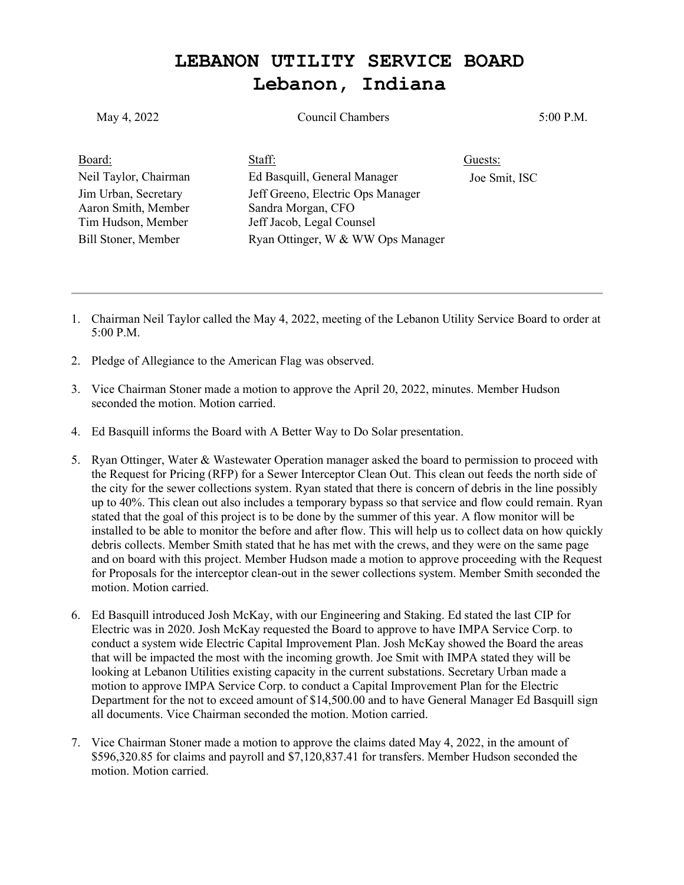## **LEBANON UTILITY SERVICE BOARD Lebanon, Indiana**

| May 4, 2022                                                       | <b>Council Chambers</b>                                                              | 5:00 P.M.     |
|-------------------------------------------------------------------|--------------------------------------------------------------------------------------|---------------|
| Board:                                                            | Staff:                                                                               | Guests:       |
| Neil Taylor, Chairman                                             | Ed Basquill, General Manager                                                         | Joe Smit, ISC |
| Jim Urban, Secretary<br>Aaron Smith, Member<br>Tim Hudson, Member | Jeff Greeno, Electric Ops Manager<br>Sandra Morgan, CFO<br>Jeff Jacob, Legal Counsel |               |
| Bill Stoner, Member                                               | Ryan Ottinger, W & WW Ops Manager                                                    |               |

- 1. Chairman Neil Taylor called the May 4, 2022, meeting of the Lebanon Utility Service Board to order at 5:00 P.M.
- 2. Pledge of Allegiance to the American Flag was observed.
- 3. Vice Chairman Stoner made a motion to approve the April 20, 2022, minutes. Member Hudson seconded the motion. Motion carried.
- 4. Ed Basquill informs the Board with A Better Way to Do Solar presentation.
- 5. Ryan Ottinger, Water & Wastewater Operation manager asked the board to permission to proceed with the Request for Pricing (RFP) for a Sewer Interceptor Clean Out. This clean out feeds the north side of the city for the sewer collections system. Ryan stated that there is concern of debris in the line possibly up to 40%. This clean out also includes a temporary bypass so that service and flow could remain. Ryan stated that the goal of this project is to be done by the summer of this year. A flow monitor will be installed to be able to monitor the before and after flow. This will help us to collect data on how quickly debris collects. Member Smith stated that he has met with the crews, and they were on the same page and on board with this project. Member Hudson made a motion to approve proceeding with the Request for Proposals for the interceptor clean-out in the sewer collections system. Member Smith seconded the motion. Motion carried.
- 6. Ed Basquill introduced Josh McKay, with our Engineering and Staking. Ed stated the last CIP for Electric was in 2020. Josh McKay requested the Board to approve to have IMPA Service Corp. to conduct a system wide Electric Capital Improvement Plan. Josh McKay showed the Board the areas that will be impacted the most with the incoming growth. Joe Smit with IMPA stated they will be looking at Lebanon Utilities existing capacity in the current substations. Secretary Urban made a motion to approve IMPA Service Corp. to conduct a Capital Improvement Plan for the Electric Department for the not to exceed amount of \$14,500.00 and to have General Manager Ed Basquill sign all documents. Vice Chairman seconded the motion. Motion carried.
- 7. Vice Chairman Stoner made a motion to approve the claims dated May 4, 2022, in the amount of \$596,320.85 for claims and payroll and \$7,120,837.41 for transfers. Member Hudson seconded the motion. Motion carried.